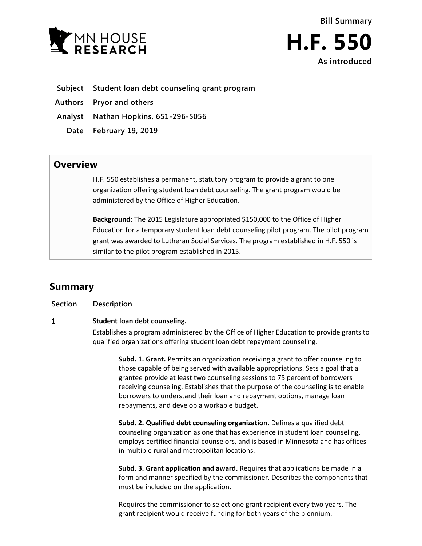



## **Subject Student loan debt counseling grant program**

**Authors Pryor and others**

**Analyst Nathan Hopkins, 651-296-5056**

**Date February 19, 2019**

## **Overview**

H.F. 550 establishes a permanent, statutory program to provide a grant to one organization offering student loan debt counseling. The grant program would be administered by the Office of Higher Education.

**Background:** The 2015 Legislature appropriated \$150,000 to the Office of Higher Education for a temporary student loan debt counseling pilot program. The pilot program grant was awarded to Lutheran Social Services. The program established in H.F. 550 is similar to the pilot program established in 2015.

# **Summary**

**Section Description**

#### $\mathbf{1}$ **Student loan debt counseling.**

Establishes a program administered by the Office of Higher Education to provide grants to qualified organizations offering student loan debt repayment counseling.

**Subd. 1. Grant.** Permits an organization receiving a grant to offer counseling to those capable of being served with available appropriations. Sets a goal that a grantee provide at least two counseling sessions to 75 percent of borrowers receiving counseling. Establishes that the purpose of the counseling is to enable borrowers to understand their loan and repayment options, manage loan repayments, and develop a workable budget.

**Subd. 2. Qualified debt counseling organization.** Defines a qualified debt counseling organization as one that has experience in student loan counseling, employs certified financial counselors, and is based in Minnesota and has offices in multiple rural and metropolitan locations.

**Subd. 3. Grant application and award.** Requires that applications be made in a form and manner specified by the commissioner. Describes the components that must be included on the application.

Requires the commissioner to select one grant recipient every two years. The grant recipient would receive funding for both years of the biennium.